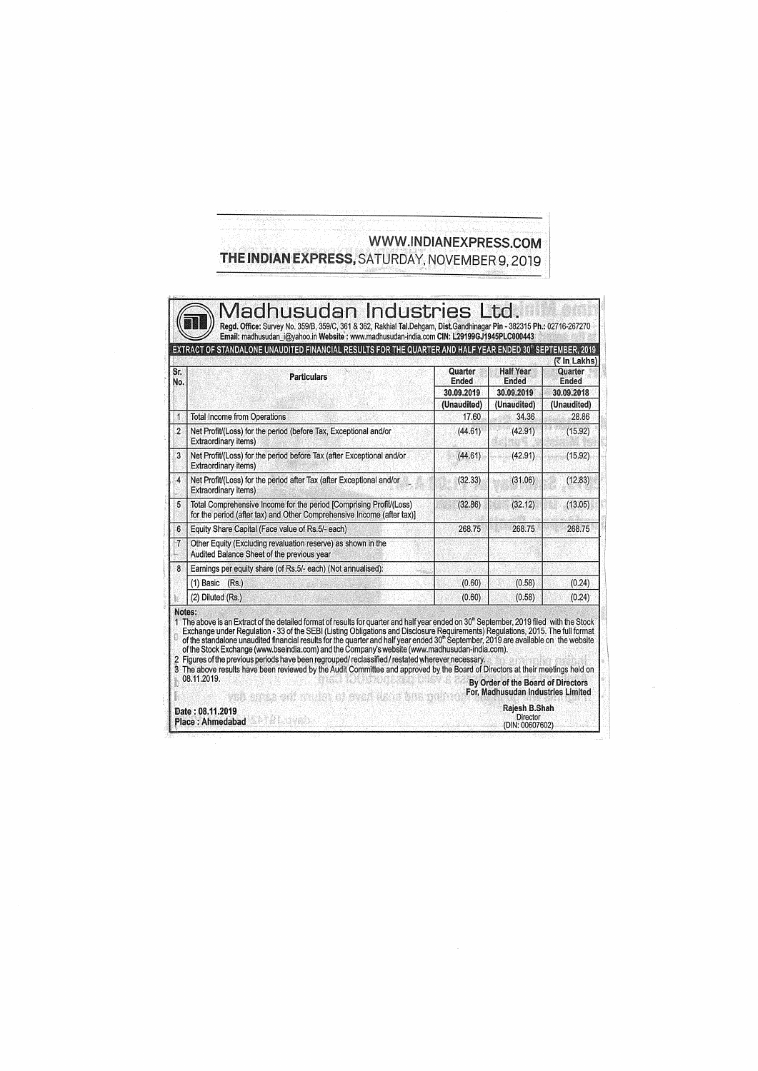## WWW.INDIANEXPRESS.COM THE INDIAN EXPRESS, SATURDAY, NOVEMBER 9, 2019

| No.<br>1        | <b>Particulars</b>                                                                                                                                                                                                                                                                                                                                                                                                                                                                                                                                                                                                                                                                                                                                                                                                        |                                           | <b>Half Year</b>                                                                          | (र In Lakhs)<br>Quarter            |
|-----------------|---------------------------------------------------------------------------------------------------------------------------------------------------------------------------------------------------------------------------------------------------------------------------------------------------------------------------------------------------------------------------------------------------------------------------------------------------------------------------------------------------------------------------------------------------------------------------------------------------------------------------------------------------------------------------------------------------------------------------------------------------------------------------------------------------------------------------|-------------------------------------------|-------------------------------------------------------------------------------------------|------------------------------------|
|                 |                                                                                                                                                                                                                                                                                                                                                                                                                                                                                                                                                                                                                                                                                                                                                                                                                           | <b>Ended</b><br>30.09.2019<br>(Unaudited) | Ended<br>30.09.2019<br>(Unaudited)                                                        | Ended<br>30.09.2018<br>(Unaudited) |
|                 |                                                                                                                                                                                                                                                                                                                                                                                                                                                                                                                                                                                                                                                                                                                                                                                                                           |                                           |                                                                                           |                                    |
|                 | <b>Total Income from Operations</b>                                                                                                                                                                                                                                                                                                                                                                                                                                                                                                                                                                                                                                                                                                                                                                                       | 17.60                                     | 34.36                                                                                     | 28.86                              |
| $\overline{2}$  | Net Profit/(Loss) for the period (before Tax, Exceptional and/or<br><b>Extraordinary items)</b>                                                                                                                                                                                                                                                                                                                                                                                                                                                                                                                                                                                                                                                                                                                           | (44.61)                                   | (42.91)                                                                                   | (15.92)                            |
| 3               | Net Profit/(Loss) for the period before Tax (after Exceptional and/or<br><b>Extraordinary items)</b>                                                                                                                                                                                                                                                                                                                                                                                                                                                                                                                                                                                                                                                                                                                      | (44.61)                                   | (42.91)                                                                                   | (15.92)                            |
| 4               | Net Profit/(Loss) for the period after Tax (after Exceptional and/or<br><b>Extraordinary items)</b>                                                                                                                                                                                                                                                                                                                                                                                                                                                                                                                                                                                                                                                                                                                       | (32.33)                                   | (31.06)                                                                                   | (12.83)                            |
| 5               | Total Comprehensive Income for the period [Comprising Profit/(Loss)<br>for the period (after tax) and Other Comprehensive Income (after tax)]                                                                                                                                                                                                                                                                                                                                                                                                                                                                                                                                                                                                                                                                             | (32.86)                                   | (32.12)                                                                                   | (13.05)                            |
| $6\overline{6}$ | Equity Share Capital (Face value of Rs.5/- each)                                                                                                                                                                                                                                                                                                                                                                                                                                                                                                                                                                                                                                                                                                                                                                          | 268.75                                    | 268.75                                                                                    | 268.75                             |
| 7               | Other Equity (Excluding revaluation reserve) as shown in the<br>Audited Balance Sheet of the previous year                                                                                                                                                                                                                                                                                                                                                                                                                                                                                                                                                                                                                                                                                                                |                                           |                                                                                           |                                    |
| 8               | Earnings per equity share (of Rs.5/- each) (Not annualised):                                                                                                                                                                                                                                                                                                                                                                                                                                                                                                                                                                                                                                                                                                                                                              |                                           |                                                                                           |                                    |
|                 | $(1)$ Basic<br>(Rs.)                                                                                                                                                                                                                                                                                                                                                                                                                                                                                                                                                                                                                                                                                                                                                                                                      | (0.60)                                    | (0.58)                                                                                    | (0.24)                             |
|                 | (2) Diluted (Rs.)                                                                                                                                                                                                                                                                                                                                                                                                                                                                                                                                                                                                                                                                                                                                                                                                         | (0.60)                                    | (0.58)                                                                                    | (0.24)                             |
|                 | 1 The above is an Extract of the detailed format of results for quarter and half year ended on 30" September, 2019 filed with the Stock<br>Exchange under Regulation - 33 of the SEBI (Listing Obligations and Disclosure Requirements) Regulations, 2015. The full format<br>of the standalone unaudited financial results for the quarter and half year ended 30 <sup>th</sup> September, 2019 are available on the website<br>of the Stock Exchange (www.bseindia.com) and the Company's website (www.madhusudan-india.com).<br>2 Figures of the previous periods have been regrouped/ reclassified / restated wherever necessary.<br>3 The above results have been reviewed by the Audit Committee and approved by the Board of Directors at their meetings held on<br>08.11.2019.<br>van erna edi o dan di svan dans |                                           | By Order of the Board of Directors<br>For, Madhusudan Industries Limited<br>Rajesh B.Shah |                                    |